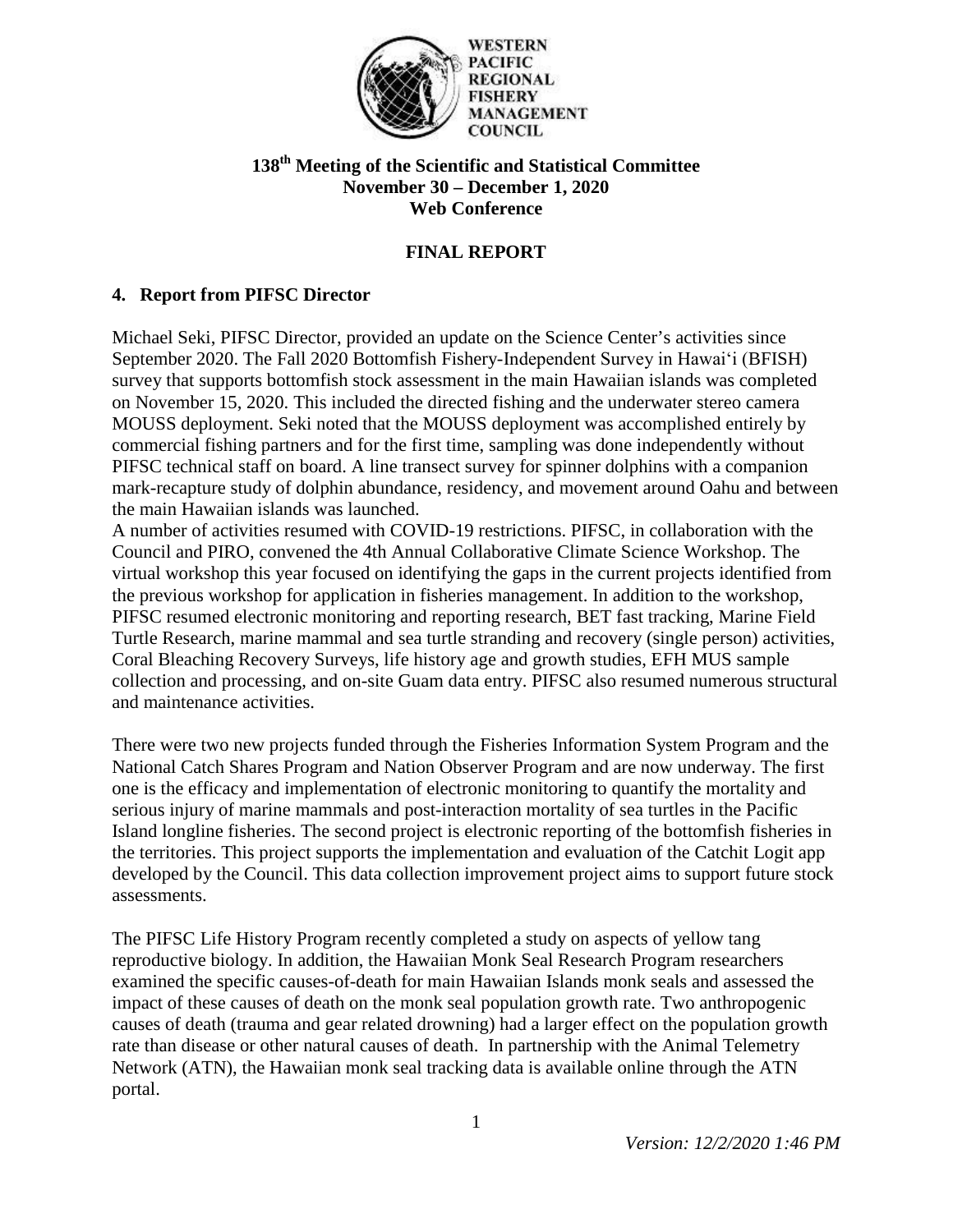

**PACIFIC REGIONAL FISHERY MANAGEMENT COUNCIL** 

# **138th Meeting of the Scientific and Statistical Committee November 30 – December 1, 2020 Web Conference**

# **FINAL REPORT**

## **4. Report from PIFSC Director**

Michael Seki, PIFSC Director, provided an update on the Science Center's activities since September 2020. The Fall 2020 Bottomfish Fishery-Independent Survey in Hawaiʻi (BFISH) survey that supports bottomfish stock assessment in the main Hawaiian islands was completed on November 15, 2020. This included the directed fishing and the underwater stereo camera MOUSS deployment. Seki noted that the MOUSS deployment was accomplished entirely by commercial fishing partners and for the first time, sampling was done independently without PIFSC technical staff on board. A line transect survey for spinner dolphins with a companion mark-recapture study of dolphin abundance, residency, and movement around Oahu and between the main Hawaiian islands was launched.

A number of activities resumed with COVID-19 restrictions. PIFSC, in collaboration with the Council and PIRO, convened the 4th Annual Collaborative Climate Science Workshop. The virtual workshop this year focused on identifying the gaps in the current projects identified from the previous workshop for application in fisheries management. In addition to the workshop, PIFSC resumed electronic monitoring and reporting research, BET fast tracking, Marine Field Turtle Research, marine mammal and sea turtle stranding and recovery (single person) activities, Coral Bleaching Recovery Surveys, life history age and growth studies, EFH MUS sample collection and processing, and on-site Guam data entry. PIFSC also resumed numerous structural and maintenance activities.

There were two new projects funded through the Fisheries Information System Program and the National Catch Shares Program and Nation Observer Program and are now underway. The first one is the efficacy and implementation of electronic monitoring to quantify the mortality and serious injury of marine mammals and post-interaction mortality of sea turtles in the Pacific Island longline fisheries. The second project is electronic reporting of the bottomfish fisheries in the territories. This project supports the implementation and evaluation of the Catchit Logit app developed by the Council. This data collection improvement project aims to support future stock assessments.

The PIFSC Life History Program recently completed a study on aspects of yellow tang reproductive biology. In addition, the Hawaiian Monk Seal Research Program researchers examined the specific causes-of-death for main Hawaiian Islands monk seals and assessed the impact of these causes of death on the monk seal population growth rate. Two anthropogenic causes of death (trauma and gear related drowning) had a larger effect on the population growth rate than disease or other natural causes of death. In partnership with the Animal Telemetry Network (ATN), the Hawaiian monk seal tracking data is available online through the ATN portal.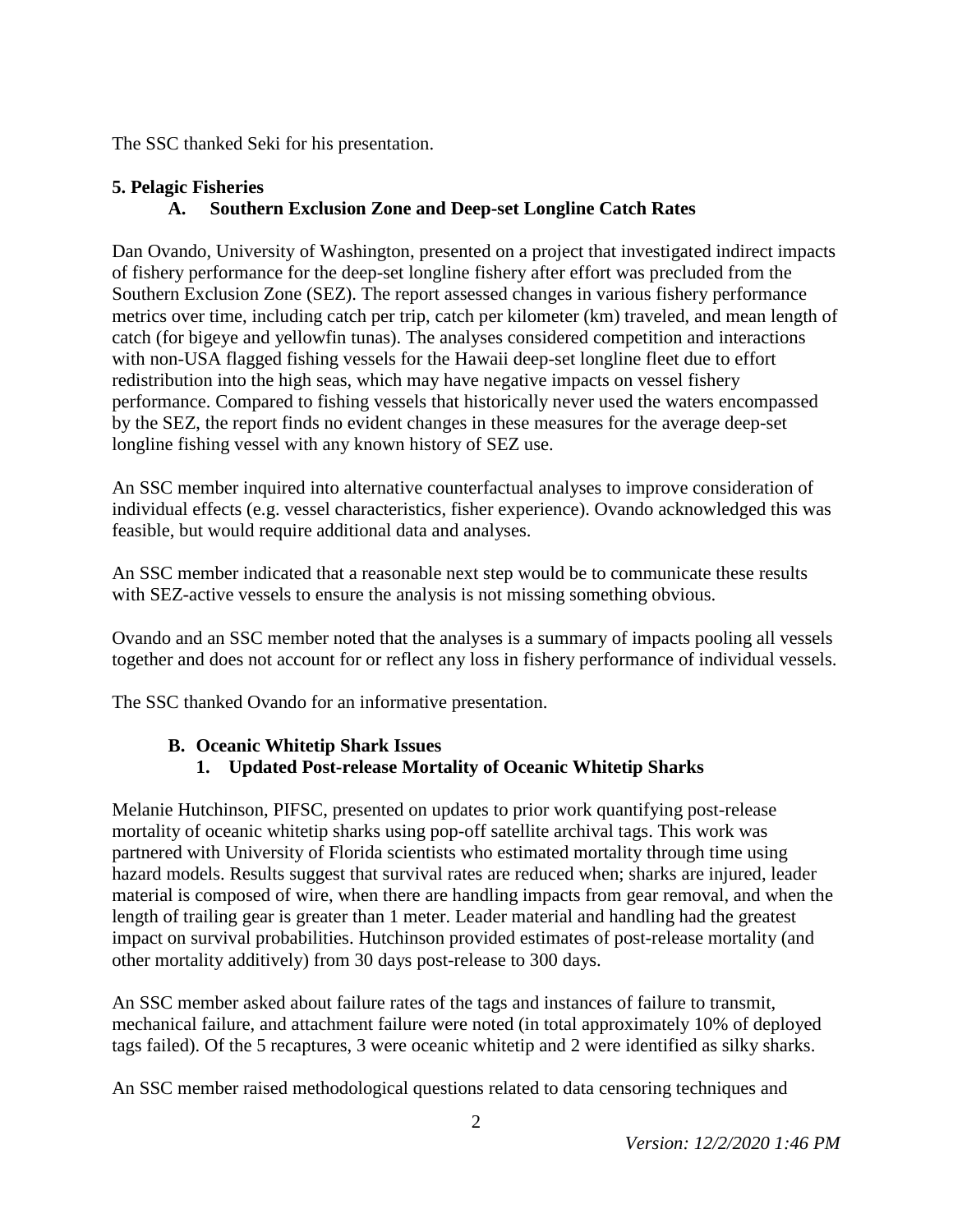The SSC thanked Seki for his presentation.

#### **5. Pelagic Fisheries A. Southern Exclusion Zone and Deep-set Longline Catch Rates**

Dan Ovando, University of Washington, presented on a project that investigated indirect impacts of fishery performance for the deep-set longline fishery after effort was precluded from the Southern Exclusion Zone (SEZ). The report assessed changes in various fishery performance metrics over time, including catch per trip, catch per kilometer (km) traveled, and mean length of catch (for bigeye and yellowfin tunas). The analyses considered competition and interactions with non-USA flagged fishing vessels for the Hawaii deep-set longline fleet due to effort redistribution into the high seas, which may have negative impacts on vessel fishery performance. Compared to fishing vessels that historically never used the waters encompassed by the SEZ, the report finds no evident changes in these measures for the average deep-set longline fishing vessel with any known history of SEZ use.

An SSC member inquired into alternative counterfactual analyses to improve consideration of individual effects (e.g. vessel characteristics, fisher experience). Ovando acknowledged this was feasible, but would require additional data and analyses.

An SSC member indicated that a reasonable next step would be to communicate these results with SEZ-active vessels to ensure the analysis is not missing something obvious.

Ovando and an SSC member noted that the analyses is a summary of impacts pooling all vessels together and does not account for or reflect any loss in fishery performance of individual vessels.

The SSC thanked Ovando for an informative presentation.

### **B. Oceanic Whitetip Shark Issues**

**1. Updated Post-release Mortality of Oceanic Whitetip Sharks**

Melanie Hutchinson, PIFSC, presented on updates to prior work quantifying post-release mortality of oceanic whitetip sharks using pop-off satellite archival tags. This work was partnered with University of Florida scientists who estimated mortality through time using hazard models. Results suggest that survival rates are reduced when; sharks are injured, leader material is composed of wire, when there are handling impacts from gear removal, and when the length of trailing gear is greater than 1 meter. Leader material and handling had the greatest impact on survival probabilities. Hutchinson provided estimates of post-release mortality (and other mortality additively) from 30 days post-release to 300 days.

An SSC member asked about failure rates of the tags and instances of failure to transmit, mechanical failure, and attachment failure were noted (in total approximately 10% of deployed tags failed). Of the 5 recaptures, 3 were oceanic whitetip and 2 were identified as silky sharks.

An SSC member raised methodological questions related to data censoring techniques and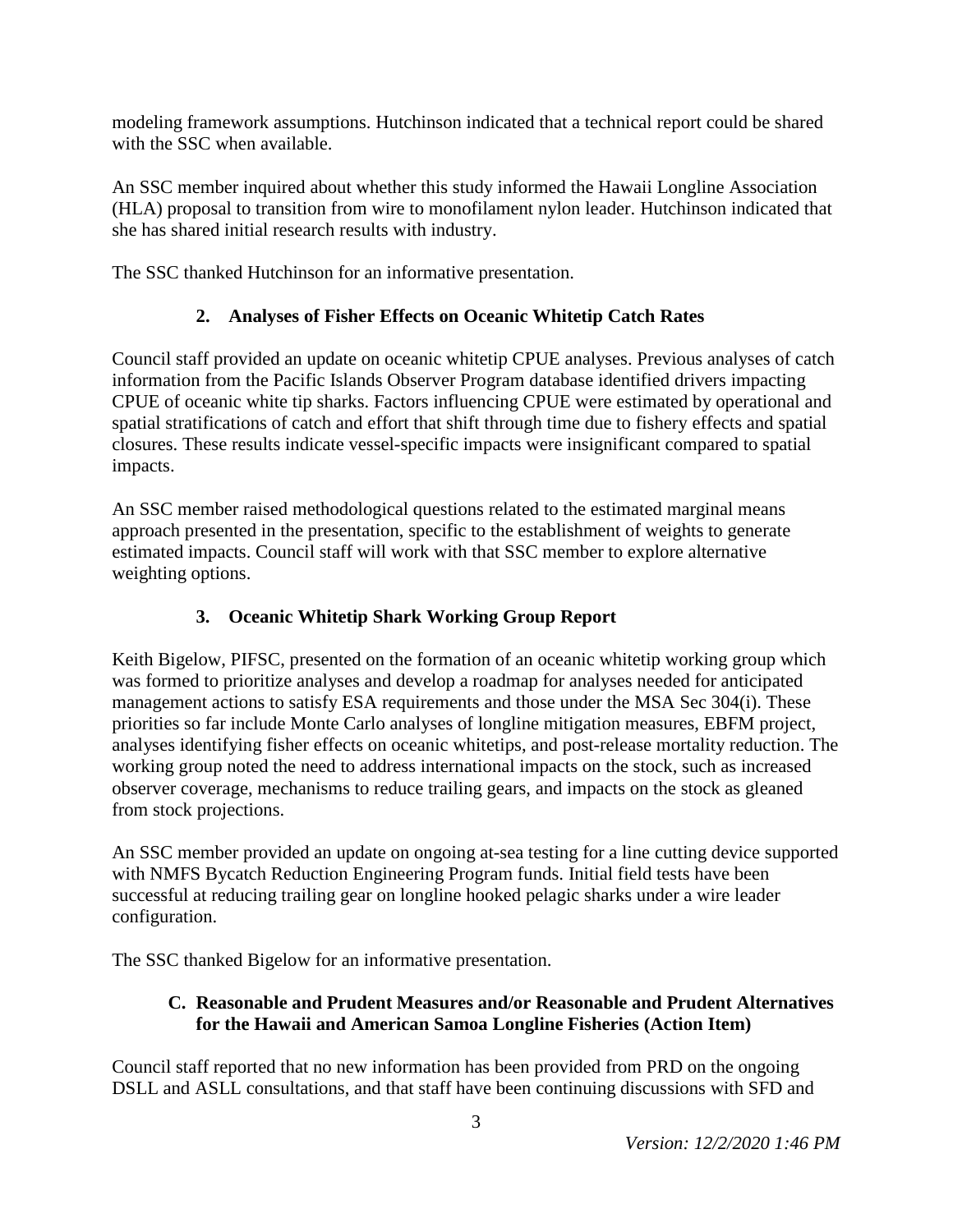modeling framework assumptions. Hutchinson indicated that a technical report could be shared with the SSC when available.

An SSC member inquired about whether this study informed the Hawaii Longline Association (HLA) proposal to transition from wire to monofilament nylon leader. Hutchinson indicated that she has shared initial research results with industry.

The SSC thanked Hutchinson for an informative presentation.

# **2. Analyses of Fisher Effects on Oceanic Whitetip Catch Rates**

Council staff provided an update on oceanic whitetip CPUE analyses. Previous analyses of catch information from the Pacific Islands Observer Program database identified drivers impacting CPUE of oceanic white tip sharks. Factors influencing CPUE were estimated by operational and spatial stratifications of catch and effort that shift through time due to fishery effects and spatial closures. These results indicate vessel-specific impacts were insignificant compared to spatial impacts.

An SSC member raised methodological questions related to the estimated marginal means approach presented in the presentation, specific to the establishment of weights to generate estimated impacts. Council staff will work with that SSC member to explore alternative weighting options.

# **3. Oceanic Whitetip Shark Working Group Report**

Keith Bigelow, PIFSC, presented on the formation of an oceanic whitetip working group which was formed to prioritize analyses and develop a roadmap for analyses needed for anticipated management actions to satisfy ESA requirements and those under the MSA Sec 304(i). These priorities so far include Monte Carlo analyses of longline mitigation measures, EBFM project, analyses identifying fisher effects on oceanic whitetips, and post-release mortality reduction. The working group noted the need to address international impacts on the stock, such as increased observer coverage, mechanisms to reduce trailing gears, and impacts on the stock as gleaned from stock projections.

An SSC member provided an update on ongoing at-sea testing for a line cutting device supported with NMFS Bycatch Reduction Engineering Program funds. Initial field tests have been successful at reducing trailing gear on longline hooked pelagic sharks under a wire leader configuration.

The SSC thanked Bigelow for an informative presentation.

# **C. Reasonable and Prudent Measures and/or Reasonable and Prudent Alternatives for the Hawaii and American Samoa Longline Fisheries (Action Item)**

Council staff reported that no new information has been provided from PRD on the ongoing DSLL and ASLL consultations, and that staff have been continuing discussions with SFD and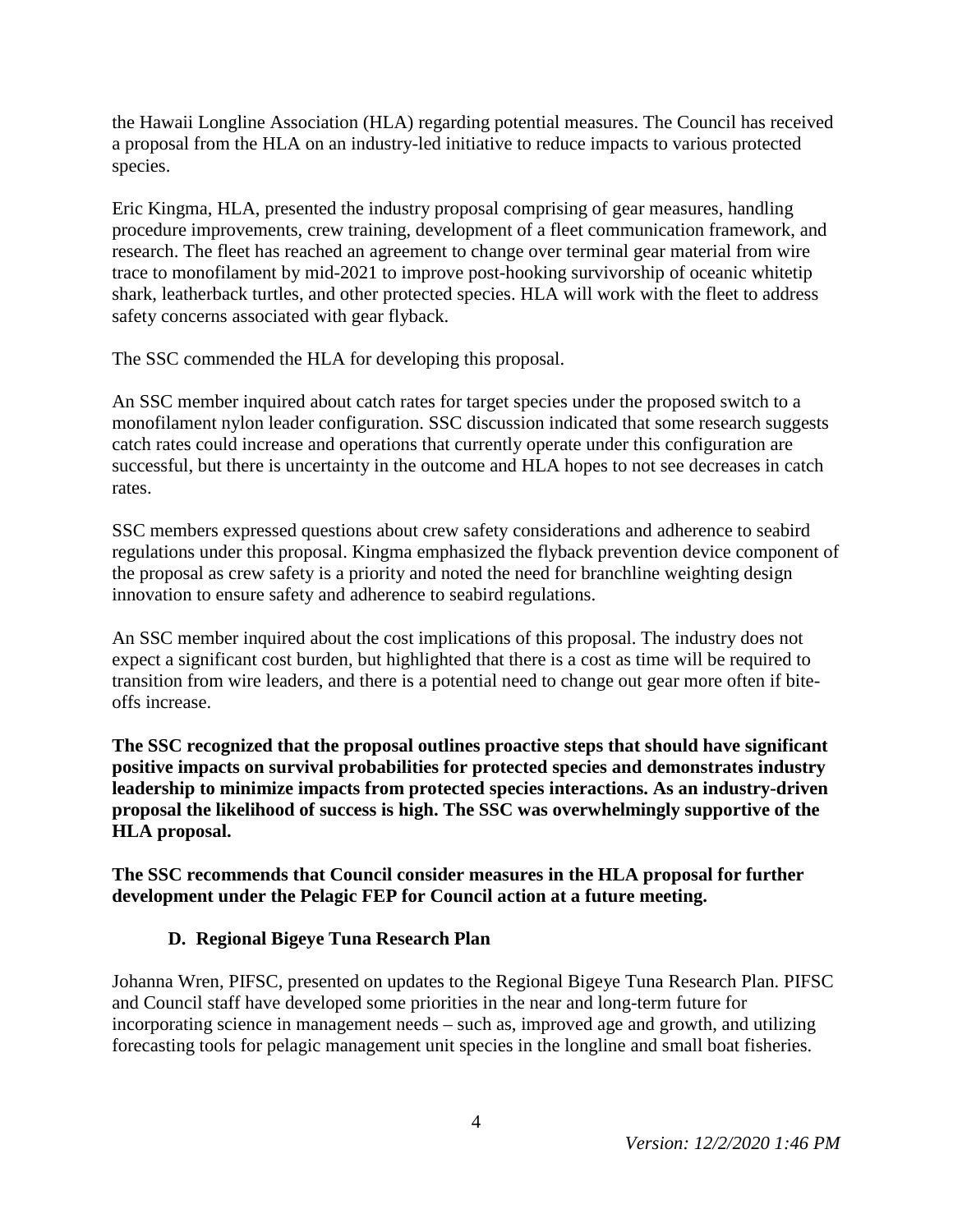the Hawaii Longline Association (HLA) regarding potential measures. The Council has received a proposal from the HLA on an industry-led initiative to reduce impacts to various protected species.

Eric Kingma, HLA, presented the industry proposal comprising of gear measures, handling procedure improvements, crew training, development of a fleet communication framework, and research. The fleet has reached an agreement to change over terminal gear material from wire trace to monofilament by mid-2021 to improve post-hooking survivorship of oceanic whitetip shark, leatherback turtles, and other protected species. HLA will work with the fleet to address safety concerns associated with gear flyback.

The SSC commended the HLA for developing this proposal.

An SSC member inquired about catch rates for target species under the proposed switch to a monofilament nylon leader configuration. SSC discussion indicated that some research suggests catch rates could increase and operations that currently operate under this configuration are successful, but there is uncertainty in the outcome and HLA hopes to not see decreases in catch rates.

SSC members expressed questions about crew safety considerations and adherence to seabird regulations under this proposal. Kingma emphasized the flyback prevention device component of the proposal as crew safety is a priority and noted the need for branchline weighting design innovation to ensure safety and adherence to seabird regulations.

An SSC member inquired about the cost implications of this proposal. The industry does not expect a significant cost burden, but highlighted that there is a cost as time will be required to transition from wire leaders, and there is a potential need to change out gear more often if biteoffs increase.

**The SSC recognized that the proposal outlines proactive steps that should have significant positive impacts on survival probabilities for protected species and demonstrates industry leadership to minimize impacts from protected species interactions. As an industry-driven proposal the likelihood of success is high. The SSC was overwhelmingly supportive of the HLA proposal.** 

**The SSC recommends that Council consider measures in the HLA proposal for further development under the Pelagic FEP for Council action at a future meeting.**

### **D. Regional Bigeye Tuna Research Plan**

Johanna Wren, PIFSC, presented on updates to the Regional Bigeye Tuna Research Plan. PIFSC and Council staff have developed some priorities in the near and long-term future for incorporating science in management needs – such as, improved age and growth, and utilizing forecasting tools for pelagic management unit species in the longline and small boat fisheries.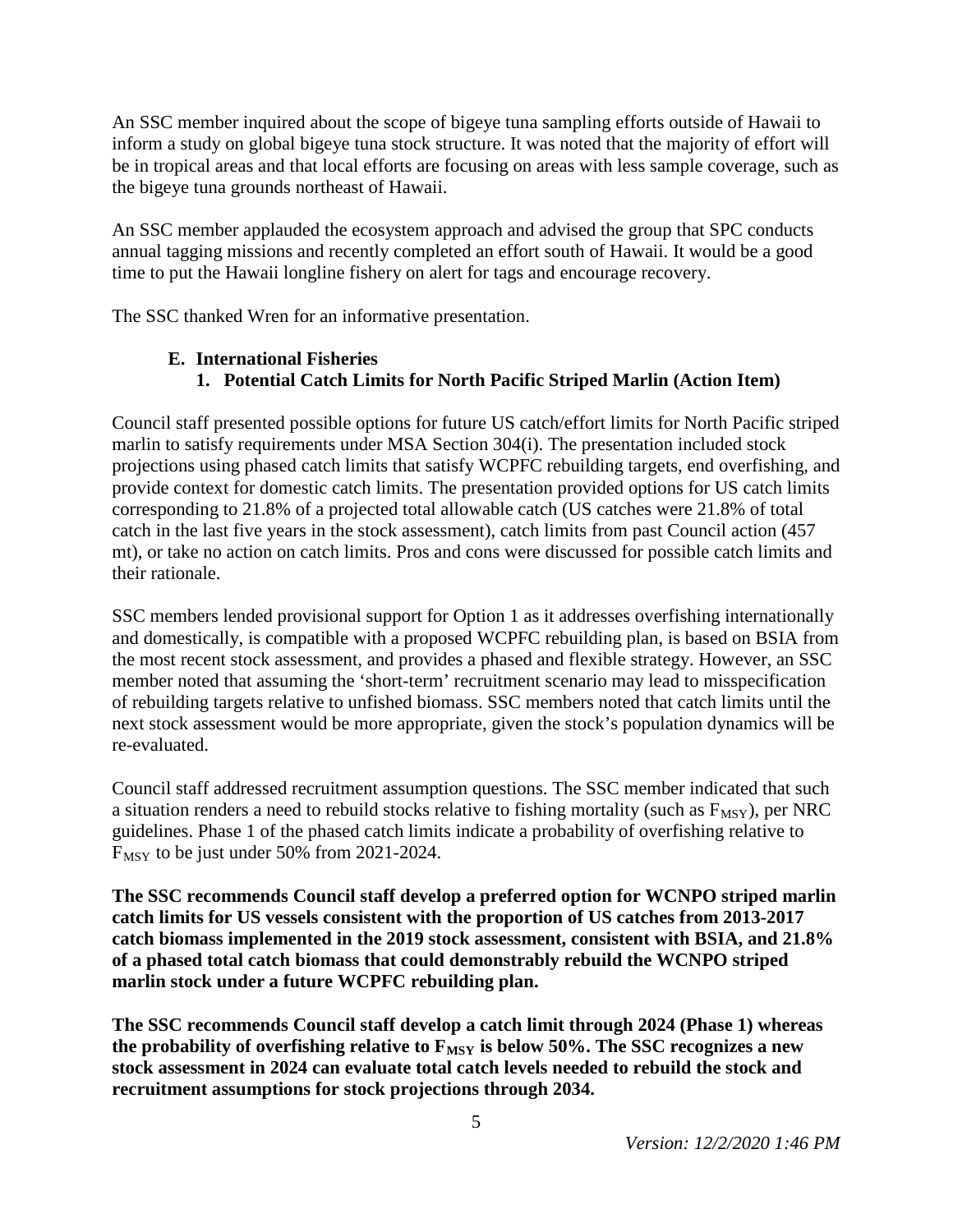An SSC member inquired about the scope of bigeye tuna sampling efforts outside of Hawaii to inform a study on global bigeye tuna stock structure. It was noted that the majority of effort will be in tropical areas and that local efforts are focusing on areas with less sample coverage, such as the bigeye tuna grounds northeast of Hawaii.

An SSC member applauded the ecosystem approach and advised the group that SPC conducts annual tagging missions and recently completed an effort south of Hawaii. It would be a good time to put the Hawaii longline fishery on alert for tags and encourage recovery.

The SSC thanked Wren for an informative presentation.

### **E. International Fisheries**

# **1. Potential Catch Limits for North Pacific Striped Marlin (Action Item)**

Council staff presented possible options for future US catch/effort limits for North Pacific striped marlin to satisfy requirements under MSA Section 304(i). The presentation included stock projections using phased catch limits that satisfy WCPFC rebuilding targets, end overfishing, and provide context for domestic catch limits. The presentation provided options for US catch limits corresponding to 21.8% of a projected total allowable catch (US catches were 21.8% of total catch in the last five years in the stock assessment), catch limits from past Council action (457 mt), or take no action on catch limits. Pros and cons were discussed for possible catch limits and their rationale.

SSC members lended provisional support for Option 1 as it addresses overfishing internationally and domestically, is compatible with a proposed WCPFC rebuilding plan, is based on BSIA from the most recent stock assessment, and provides a phased and flexible strategy. However, an SSC member noted that assuming the 'short-term' recruitment scenario may lead to misspecification of rebuilding targets relative to unfished biomass. SSC members noted that catch limits until the next stock assessment would be more appropriate, given the stock's population dynamics will be re-evaluated.

Council staff addressed recruitment assumption questions. The SSC member indicated that such a situation renders a need to rebuild stocks relative to fishing mortality (such as  $F_{\text{MSY}}$ ), per NRC guidelines. Phase 1 of the phased catch limits indicate a probability of overfishing relative to F<sub>MSY</sub> to be just under 50% from 2021-2024.

**The SSC recommends Council staff develop a preferred option for WCNPO striped marlin catch limits for US vessels consistent with the proportion of US catches from 2013-2017 catch biomass implemented in the 2019 stock assessment, consistent with BSIA, and 21.8% of a phased total catch biomass that could demonstrably rebuild the WCNPO striped marlin stock under a future WCPFC rebuilding plan.**

**The SSC recommends Council staff develop a catch limit through 2024 (Phase 1) whereas**  the probability of overfishing relative to  $F_{MSY}$  is below 50%. The SSC recognizes a new **stock assessment in 2024 can evaluate total catch levels needed to rebuild the stock and recruitment assumptions for stock projections through 2034.**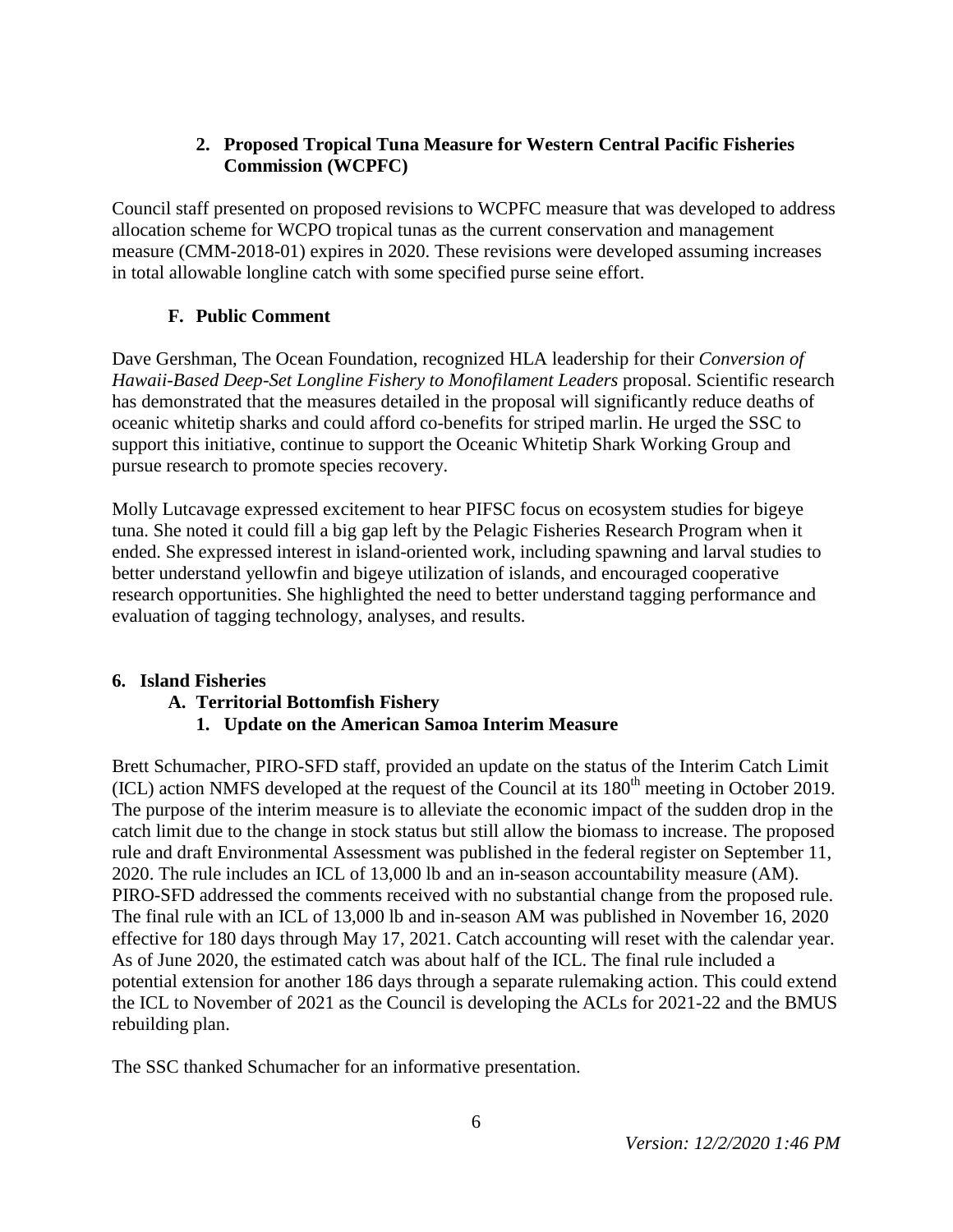### **2. Proposed Tropical Tuna Measure for Western Central Pacific Fisheries Commission (WCPFC)**

Council staff presented on proposed revisions to WCPFC measure that was developed to address allocation scheme for WCPO tropical tunas as the current conservation and management measure (CMM-2018-01) expires in 2020. These revisions were developed assuming increases in total allowable longline catch with some specified purse seine effort.

# **F. Public Comment**

Dave Gershman, The Ocean Foundation, recognized HLA leadership for their *Conversion of Hawaii-Based Deep-Set Longline Fishery to Monofilament Leaders* proposal. Scientific research has demonstrated that the measures detailed in the proposal will significantly reduce deaths of oceanic whitetip sharks and could afford co-benefits for striped marlin. He urged the SSC to support this initiative, continue to support the Oceanic Whitetip Shark Working Group and pursue research to promote species recovery.

Molly Lutcavage expressed excitement to hear PIFSC focus on ecosystem studies for bigeye tuna. She noted it could fill a big gap left by the Pelagic Fisheries Research Program when it ended. She expressed interest in island-oriented work, including spawning and larval studies to better understand yellowfin and bigeye utilization of islands, and encouraged cooperative research opportunities. She highlighted the need to better understand tagging performance and evaluation of tagging technology, analyses, and results.

### **6. Island Fisheries**

# **A. Territorial Bottomfish Fishery**

# **1. Update on the American Samoa Interim Measure**

Brett Schumacher, PIRO-SFD staff, provided an update on the status of the Interim Catch Limit (ICL) action NMFS developed at the request of the Council at its  $180<sup>th</sup>$  meeting in October 2019. The purpose of the interim measure is to alleviate the economic impact of the sudden drop in the catch limit due to the change in stock status but still allow the biomass to increase. The proposed rule and draft Environmental Assessment was published in the federal register on September 11, 2020. The rule includes an ICL of 13,000 lb and an in-season accountability measure (AM). PIRO-SFD addressed the comments received with no substantial change from the proposed rule. The final rule with an ICL of 13,000 lb and in-season AM was published in November 16, 2020 effective for 180 days through May 17, 2021. Catch accounting will reset with the calendar year. As of June 2020, the estimated catch was about half of the ICL. The final rule included a potential extension for another 186 days through a separate rulemaking action. This could extend the ICL to November of 2021 as the Council is developing the ACLs for 2021-22 and the BMUS rebuilding plan.

The SSC thanked Schumacher for an informative presentation.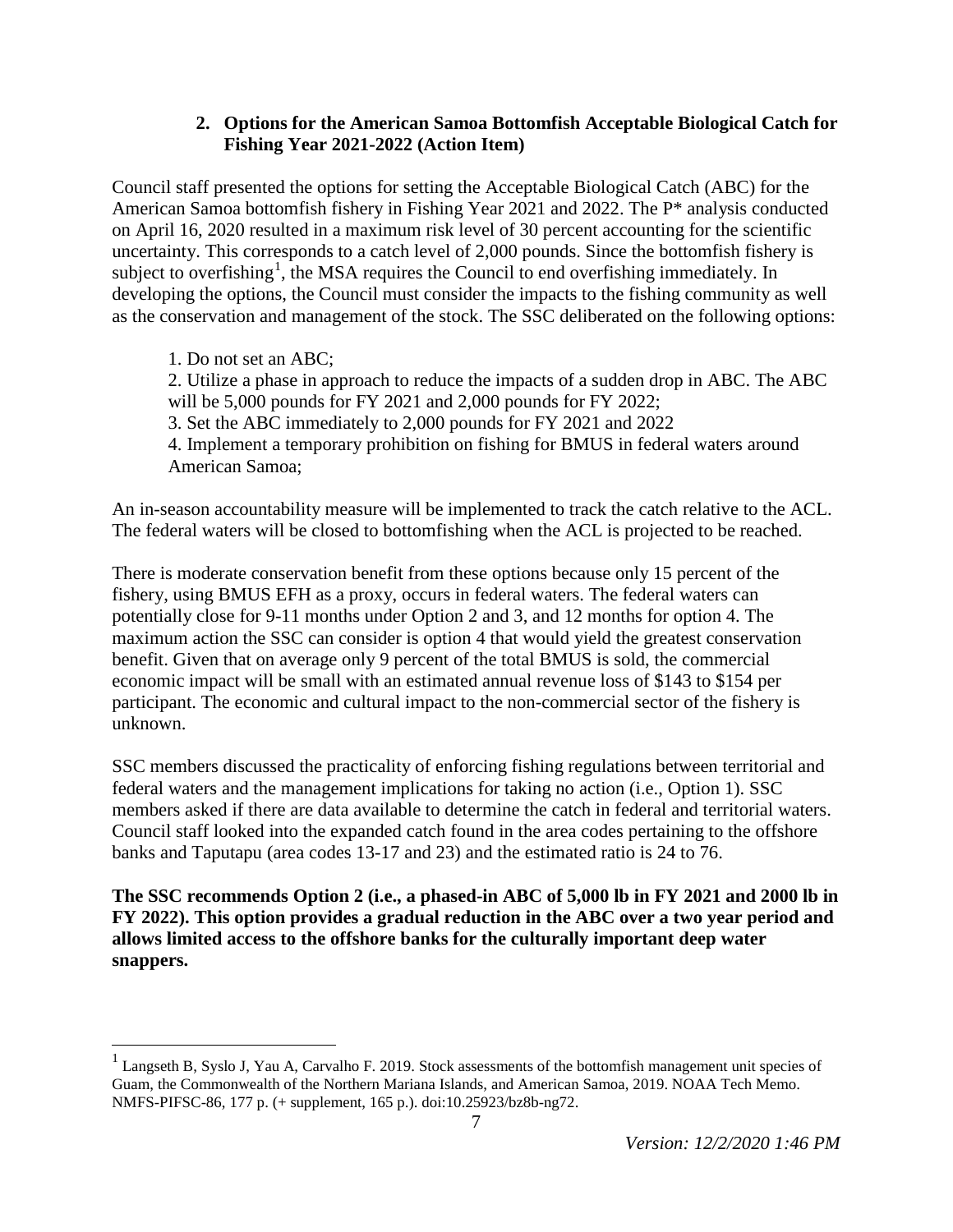#### **2. Options for the American Samoa Bottomfish Acceptable Biological Catch for Fishing Year 2021-2022 (Action Item)**

Council staff presented the options for setting the Acceptable Biological Catch (ABC) for the American Samoa bottomfish fishery in Fishing Year 2021 and 2022. The P\* analysis conducted on April 16, 2020 resulted in a maximum risk level of 30 percent accounting for the scientific uncertainty. This corresponds to a catch level of 2,000 pounds. Since the bottomfish fishery is subject to overfishing<sup>[1](#page-6-0)</sup>, the MSA requires the Council to end overfishing immediately. In developing the options, the Council must consider the impacts to the fishing community as well as the conservation and management of the stock. The SSC deliberated on the following options:

1. Do not set an ABC; 2. Utilize a phase in approach to reduce the impacts of a sudden drop in ABC. The ABC will be 5,000 pounds for FY 2021 and 2,000 pounds for FY 2022; 3. Set the ABC immediately to 2,000 pounds for FY 2021 and 2022 4. Implement a temporary prohibition on fishing for BMUS in federal waters around American Samoa;

An in-season accountability measure will be implemented to track the catch relative to the ACL. The federal waters will be closed to bottomfishing when the ACL is projected to be reached.

There is moderate conservation benefit from these options because only 15 percent of the fishery, using BMUS EFH as a proxy, occurs in federal waters. The federal waters can potentially close for 9-11 months under Option 2 and 3, and 12 months for option 4. The maximum action the SSC can consider is option 4 that would yield the greatest conservation benefit. Given that on average only 9 percent of the total BMUS is sold, the commercial economic impact will be small with an estimated annual revenue loss of \$143 to \$154 per participant. The economic and cultural impact to the non-commercial sector of the fishery is unknown.

SSC members discussed the practicality of enforcing fishing regulations between territorial and federal waters and the management implications for taking no action (i.e., Option 1). SSC members asked if there are data available to determine the catch in federal and territorial waters. Council staff looked into the expanded catch found in the area codes pertaining to the offshore banks and Taputapu (area codes 13-17 and 23) and the estimated ratio is 24 to 76.

**The SSC recommends Option 2 (i.e., a phased-in ABC of 5,000 lb in FY 2021 and 2000 lb in FY 2022). This option provides a gradual reduction in the ABC over a two year period and allows limited access to the offshore banks for the culturally important deep water snappers.**

<span id="page-6-0"></span><sup>&</sup>lt;sup>1</sup> Langseth B, Syslo J, Yau A, Carvalho F. 2019. Stock assessments of the bottomfish management unit species of Guam, the Commonwealth of the Northern Mariana Islands, and American Samoa, 2019. NOAA Tech Memo. NMFS-PIFSC-86, 177 p. (+ supplement, 165 p.). doi:10.25923/bz8b-ng72.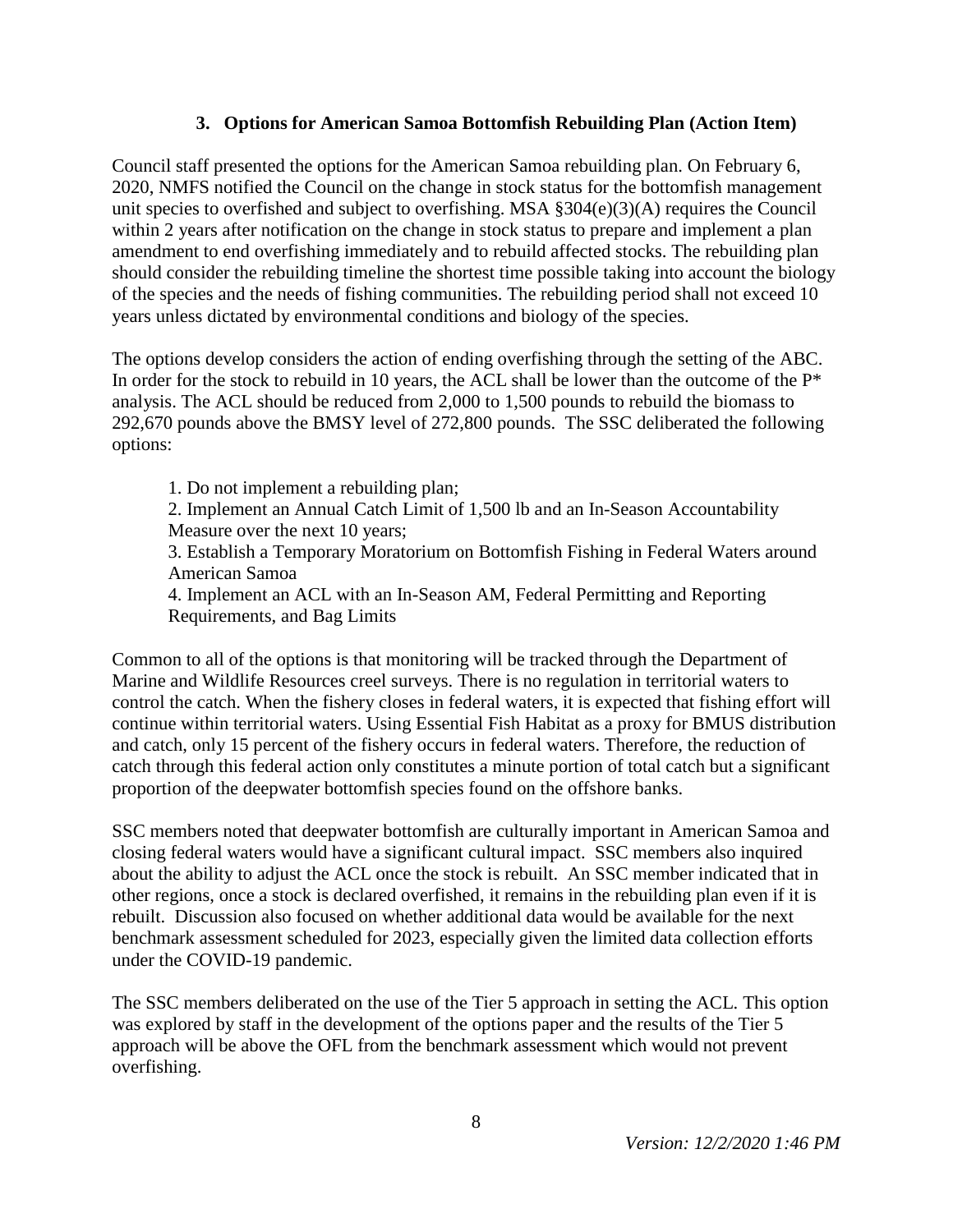#### **3. Options for American Samoa Bottomfish Rebuilding Plan (Action Item)**

Council staff presented the options for the American Samoa rebuilding plan. On February 6, 2020, NMFS notified the Council on the change in stock status for the bottomfish management unit species to overfished and subject to overfishing. MSA §304(e)(3)(A) requires the Council within 2 years after notification on the change in stock status to prepare and implement a plan amendment to end overfishing immediately and to rebuild affected stocks. The rebuilding plan should consider the rebuilding timeline the shortest time possible taking into account the biology of the species and the needs of fishing communities. The rebuilding period shall not exceed 10 years unless dictated by environmental conditions and biology of the species.

The options develop considers the action of ending overfishing through the setting of the ABC. In order for the stock to rebuild in 10 years, the ACL shall be lower than the outcome of the  $P^*$ analysis. The ACL should be reduced from 2,000 to 1,500 pounds to rebuild the biomass to 292,670 pounds above the BMSY level of 272,800 pounds. The SSC deliberated the following options:

1. Do not implement a rebuilding plan;

2. Implement an Annual Catch Limit of 1,500 lb and an In-Season Accountability Measure over the next 10 years;

3. Establish a Temporary Moratorium on Bottomfish Fishing in Federal Waters around American Samoa

4. Implement an ACL with an In-Season AM, Federal Permitting and Reporting Requirements, and Bag Limits

Common to all of the options is that monitoring will be tracked through the Department of Marine and Wildlife Resources creel surveys. There is no regulation in territorial waters to control the catch. When the fishery closes in federal waters, it is expected that fishing effort will continue within territorial waters. Using Essential Fish Habitat as a proxy for BMUS distribution and catch, only 15 percent of the fishery occurs in federal waters. Therefore, the reduction of catch through this federal action only constitutes a minute portion of total catch but a significant proportion of the deepwater bottomfish species found on the offshore banks.

SSC members noted that deepwater bottomfish are culturally important in American Samoa and closing federal waters would have a significant cultural impact. SSC members also inquired about the ability to adjust the ACL once the stock is rebuilt. An SSC member indicated that in other regions, once a stock is declared overfished, it remains in the rebuilding plan even if it is rebuilt. Discussion also focused on whether additional data would be available for the next benchmark assessment scheduled for 2023, especially given the limited data collection efforts under the COVID-19 pandemic.

The SSC members deliberated on the use of the Tier 5 approach in setting the ACL. This option was explored by staff in the development of the options paper and the results of the Tier 5 approach will be above the OFL from the benchmark assessment which would not prevent overfishing.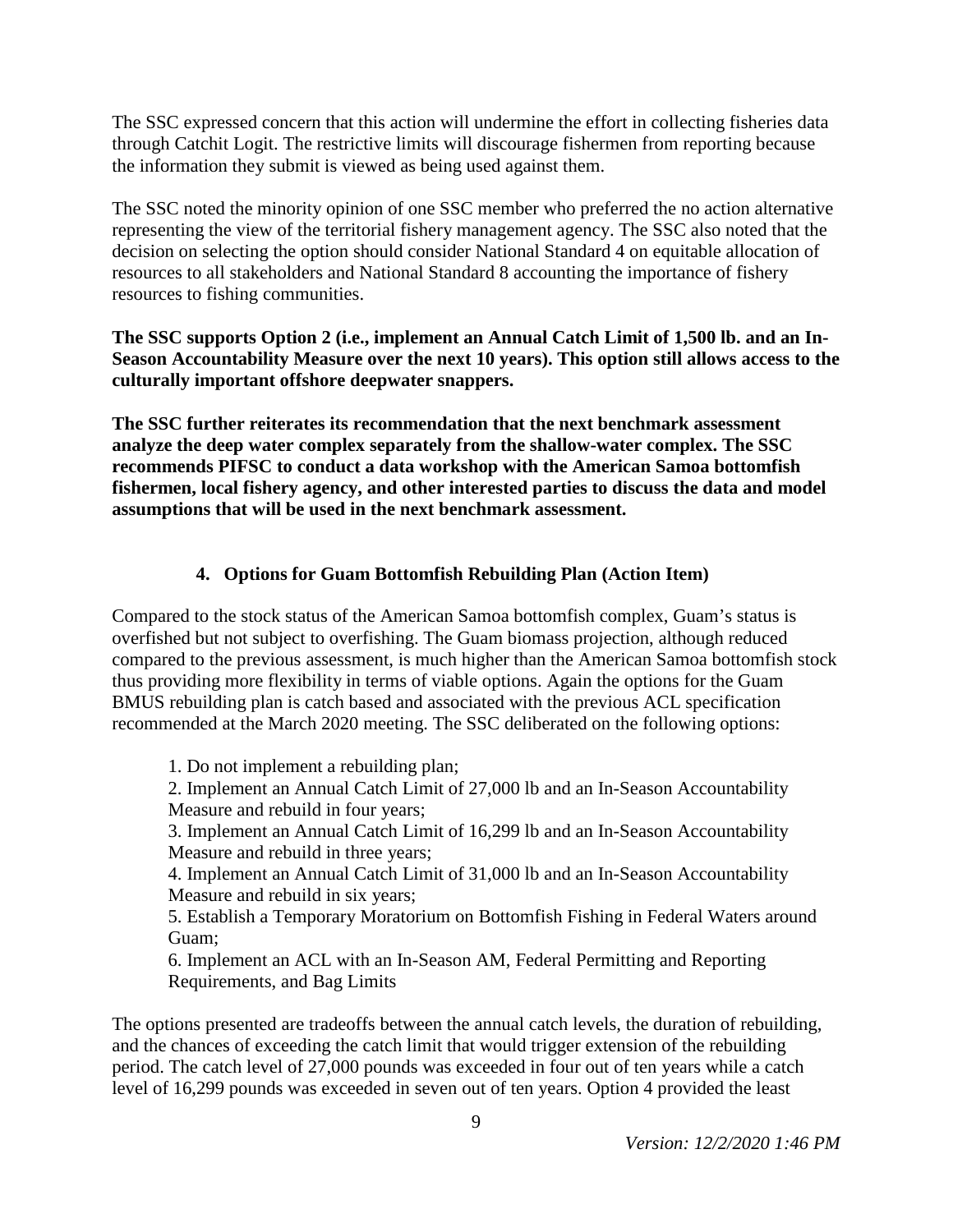The SSC expressed concern that this action will undermine the effort in collecting fisheries data through Catchit Logit. The restrictive limits will discourage fishermen from reporting because the information they submit is viewed as being used against them.

The SSC noted the minority opinion of one SSC member who preferred the no action alternative representing the view of the territorial fishery management agency. The SSC also noted that the decision on selecting the option should consider National Standard 4 on equitable allocation of resources to all stakeholders and National Standard 8 accounting the importance of fishery resources to fishing communities.

**The SSC supports Option 2 (i.e., implement an Annual Catch Limit of 1,500 lb. and an In-Season Accountability Measure over the next 10 years). This option still allows access to the culturally important offshore deepwater snappers.** 

**The SSC further reiterates its recommendation that the next benchmark assessment analyze the deep water complex separately from the shallow-water complex. The SSC recommends PIFSC to conduct a data workshop with the American Samoa bottomfish fishermen, local fishery agency, and other interested parties to discuss the data and model assumptions that will be used in the next benchmark assessment.**

## **4. Options for Guam Bottomfish Rebuilding Plan (Action Item)**

Compared to the stock status of the American Samoa bottomfish complex, Guam's status is overfished but not subject to overfishing. The Guam biomass projection, although reduced compared to the previous assessment, is much higher than the American Samoa bottomfish stock thus providing more flexibility in terms of viable options. Again the options for the Guam BMUS rebuilding plan is catch based and associated with the previous ACL specification recommended at the March 2020 meeting. The SSC deliberated on the following options:

1. Do not implement a rebuilding plan;

2. Implement an Annual Catch Limit of 27,000 lb and an In-Season Accountability Measure and rebuild in four years;

3. Implement an Annual Catch Limit of 16,299 lb and an In-Season Accountability Measure and rebuild in three years;

4. Implement an Annual Catch Limit of 31,000 lb and an In-Season Accountability Measure and rebuild in six years;

5. Establish a Temporary Moratorium on Bottomfish Fishing in Federal Waters around Guam;

6. Implement an ACL with an In-Season AM, Federal Permitting and Reporting Requirements, and Bag Limits

The options presented are tradeoffs between the annual catch levels, the duration of rebuilding, and the chances of exceeding the catch limit that would trigger extension of the rebuilding period. The catch level of 27,000 pounds was exceeded in four out of ten years while a catch level of 16,299 pounds was exceeded in seven out of ten years. Option 4 provided the least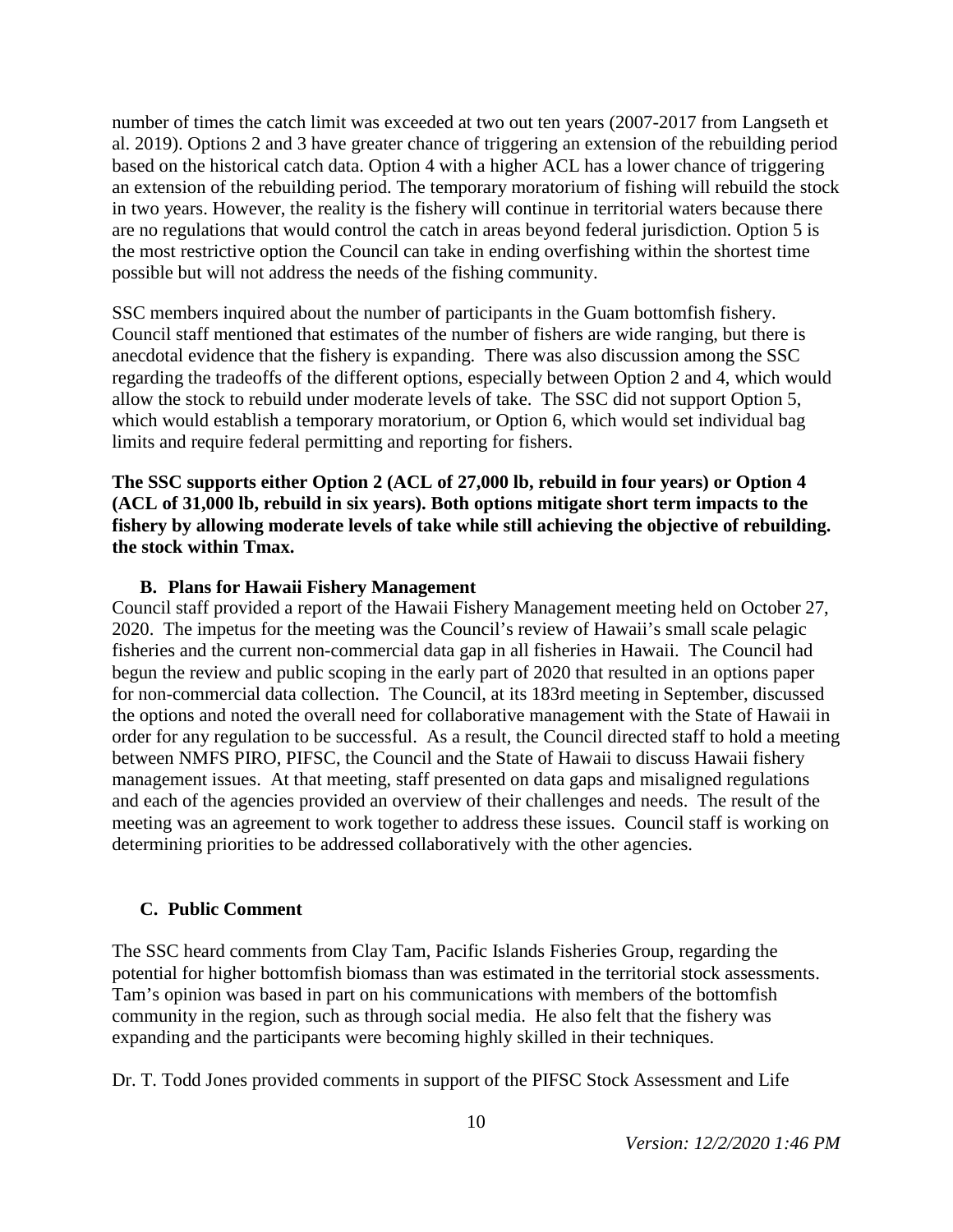number of times the catch limit was exceeded at two out ten years (2007-2017 from Langseth et al. 2019). Options 2 and 3 have greater chance of triggering an extension of the rebuilding period based on the historical catch data. Option 4 with a higher ACL has a lower chance of triggering an extension of the rebuilding period. The temporary moratorium of fishing will rebuild the stock in two years. However, the reality is the fishery will continue in territorial waters because there are no regulations that would control the catch in areas beyond federal jurisdiction. Option 5 is the most restrictive option the Council can take in ending overfishing within the shortest time possible but will not address the needs of the fishing community.

SSC members inquired about the number of participants in the Guam bottomfish fishery. Council staff mentioned that estimates of the number of fishers are wide ranging, but there is anecdotal evidence that the fishery is expanding. There was also discussion among the SSC regarding the tradeoffs of the different options, especially between Option 2 and 4, which would allow the stock to rebuild under moderate levels of take. The SSC did not support Option 5, which would establish a temporary moratorium, or Option 6, which would set individual bag limits and require federal permitting and reporting for fishers.

**The SSC supports either Option 2 (ACL of 27,000 lb, rebuild in four years) or Option 4 (ACL of 31,000 lb, rebuild in six years). Both options mitigate short term impacts to the fishery by allowing moderate levels of take while still achieving the objective of rebuilding. the stock within Tmax.**

#### **B. Plans for Hawaii Fishery Management**

Council staff provided a report of the Hawaii Fishery Management meeting held on October 27, 2020. The impetus for the meeting was the Council's review of Hawaii's small scale pelagic fisheries and the current non-commercial data gap in all fisheries in Hawaii. The Council had begun the review and public scoping in the early part of 2020 that resulted in an options paper for non-commercial data collection. The Council, at its 183rd meeting in September, discussed the options and noted the overall need for collaborative management with the State of Hawaii in order for any regulation to be successful. As a result, the Council directed staff to hold a meeting between NMFS PIRO, PIFSC, the Council and the State of Hawaii to discuss Hawaii fishery management issues. At that meeting, staff presented on data gaps and misaligned regulations and each of the agencies provided an overview of their challenges and needs. The result of the meeting was an agreement to work together to address these issues. Council staff is working on determining priorities to be addressed collaboratively with the other agencies.

#### **C. Public Comment**

The SSC heard comments from Clay Tam, Pacific Islands Fisheries Group, regarding the potential for higher bottomfish biomass than was estimated in the territorial stock assessments. Tam's opinion was based in part on his communications with members of the bottomfish community in the region, such as through social media. He also felt that the fishery was expanding and the participants were becoming highly skilled in their techniques.

Dr. T. Todd Jones provided comments in support of the PIFSC Stock Assessment and Life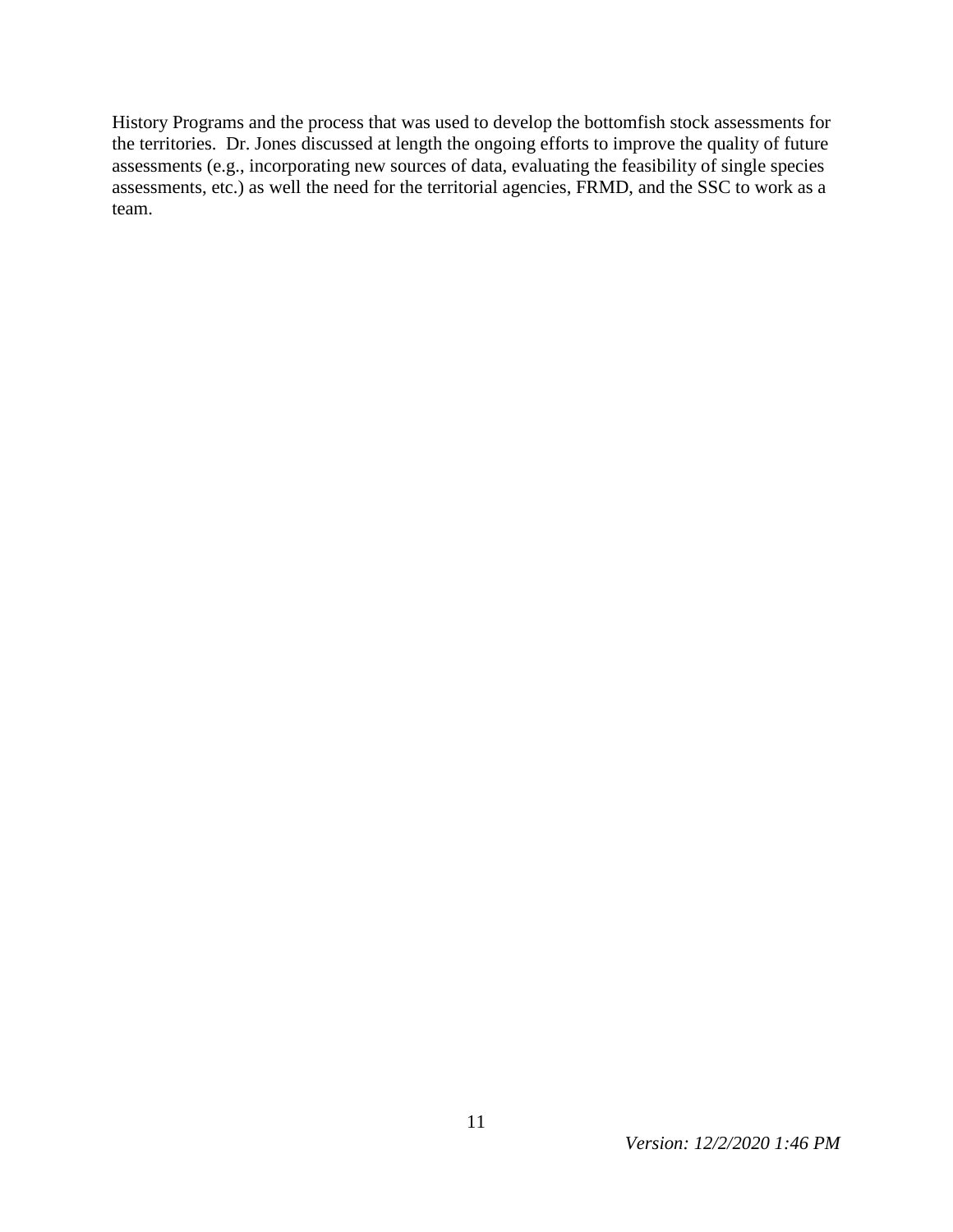History Programs and the process that was used to develop the bottomfish stock assessments for the territories. Dr. Jones discussed at length the ongoing efforts to improve the quality of future assessments (e.g., incorporating new sources of data, evaluating the feasibility of single species assessments, etc.) as well the need for the territorial agencies, FRMD, and the SSC to work as a team.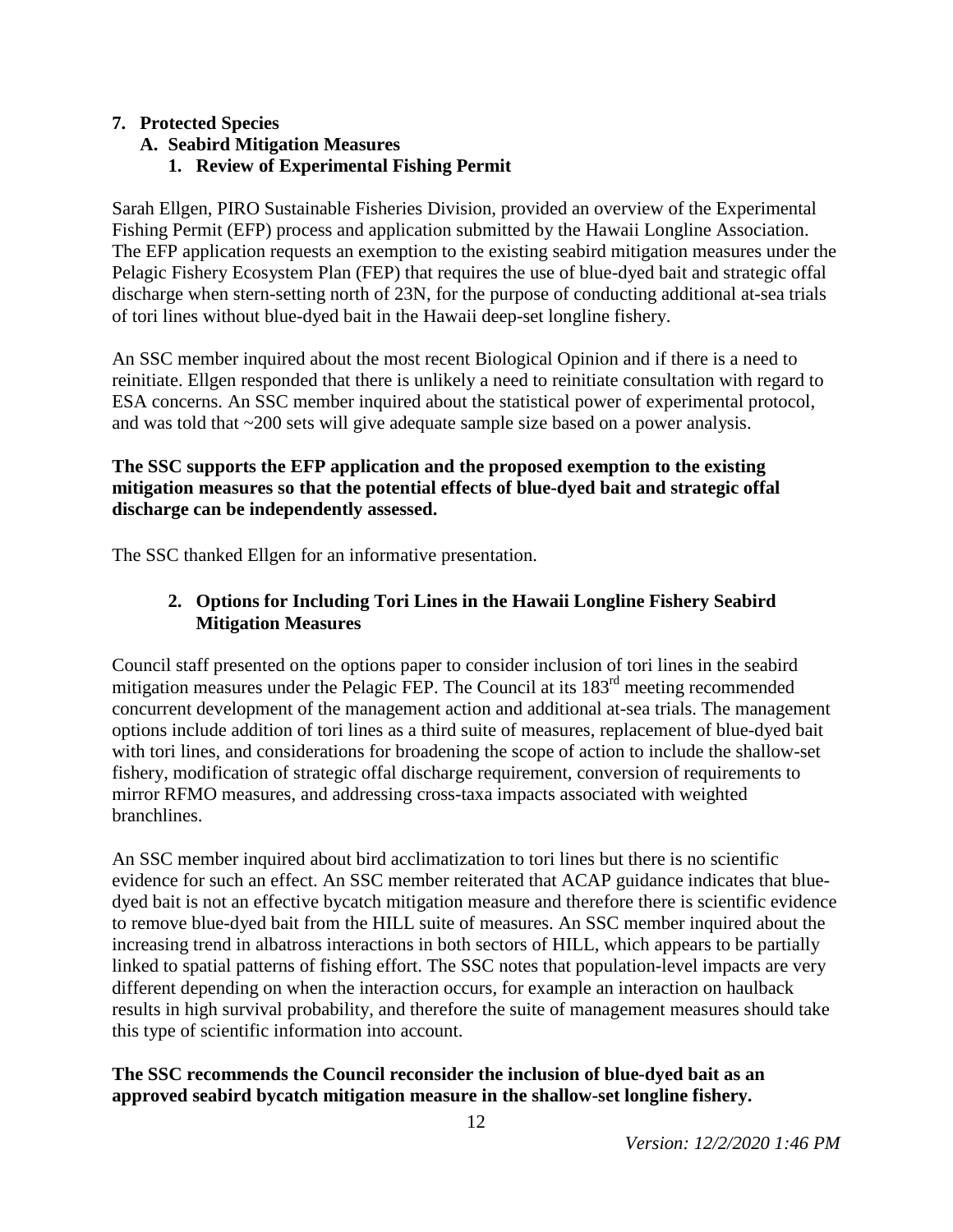### **7. Protected Species**

# **A. Seabird Mitigation Measures**

# **1. Review of Experimental Fishing Permit**

Sarah Ellgen, PIRO Sustainable Fisheries Division, provided an overview of the Experimental Fishing Permit (EFP) process and application submitted by the Hawaii Longline Association. The EFP application requests an exemption to the existing seabird mitigation measures under the Pelagic Fishery Ecosystem Plan (FEP) that requires the use of blue-dyed bait and strategic offal discharge when stern-setting north of 23N, for the purpose of conducting additional at-sea trials of tori lines without blue-dyed bait in the Hawaii deep-set longline fishery.

An SSC member inquired about the most recent Biological Opinion and if there is a need to reinitiate. Ellgen responded that there is unlikely a need to reinitiate consultation with regard to ESA concerns. An SSC member inquired about the statistical power of experimental protocol, and was told that ~200 sets will give adequate sample size based on a power analysis.

### **The SSC supports the EFP application and the proposed exemption to the existing mitigation measures so that the potential effects of blue-dyed bait and strategic offal discharge can be independently assessed.**

The SSC thanked Ellgen for an informative presentation.

## **2. Options for Including Tori Lines in the Hawaii Longline Fishery Seabird Mitigation Measures**

Council staff presented on the options paper to consider inclusion of tori lines in the seabird mitigation measures under the Pelagic FEP. The Council at its 183<sup>rd</sup> meeting recommended concurrent development of the management action and additional at-sea trials. The management options include addition of tori lines as a third suite of measures, replacement of blue-dyed bait with tori lines, and considerations for broadening the scope of action to include the shallow-set fishery, modification of strategic offal discharge requirement, conversion of requirements to mirror RFMO measures, and addressing cross-taxa impacts associated with weighted branchlines.

An SSC member inquired about bird acclimatization to tori lines but there is no scientific evidence for such an effect. An SSC member reiterated that ACAP guidance indicates that bluedyed bait is not an effective bycatch mitigation measure and therefore there is scientific evidence to remove blue-dyed bait from the HILL suite of measures. An SSC member inquired about the increasing trend in albatross interactions in both sectors of HILL, which appears to be partially linked to spatial patterns of fishing effort. The SSC notes that population-level impacts are very different depending on when the interaction occurs, for example an interaction on haulback results in high survival probability, and therefore the suite of management measures should take this type of scientific information into account.

### **The SSC recommends the Council reconsider the inclusion of blue-dyed bait as an approved seabird bycatch mitigation measure in the shallow-set longline fishery.**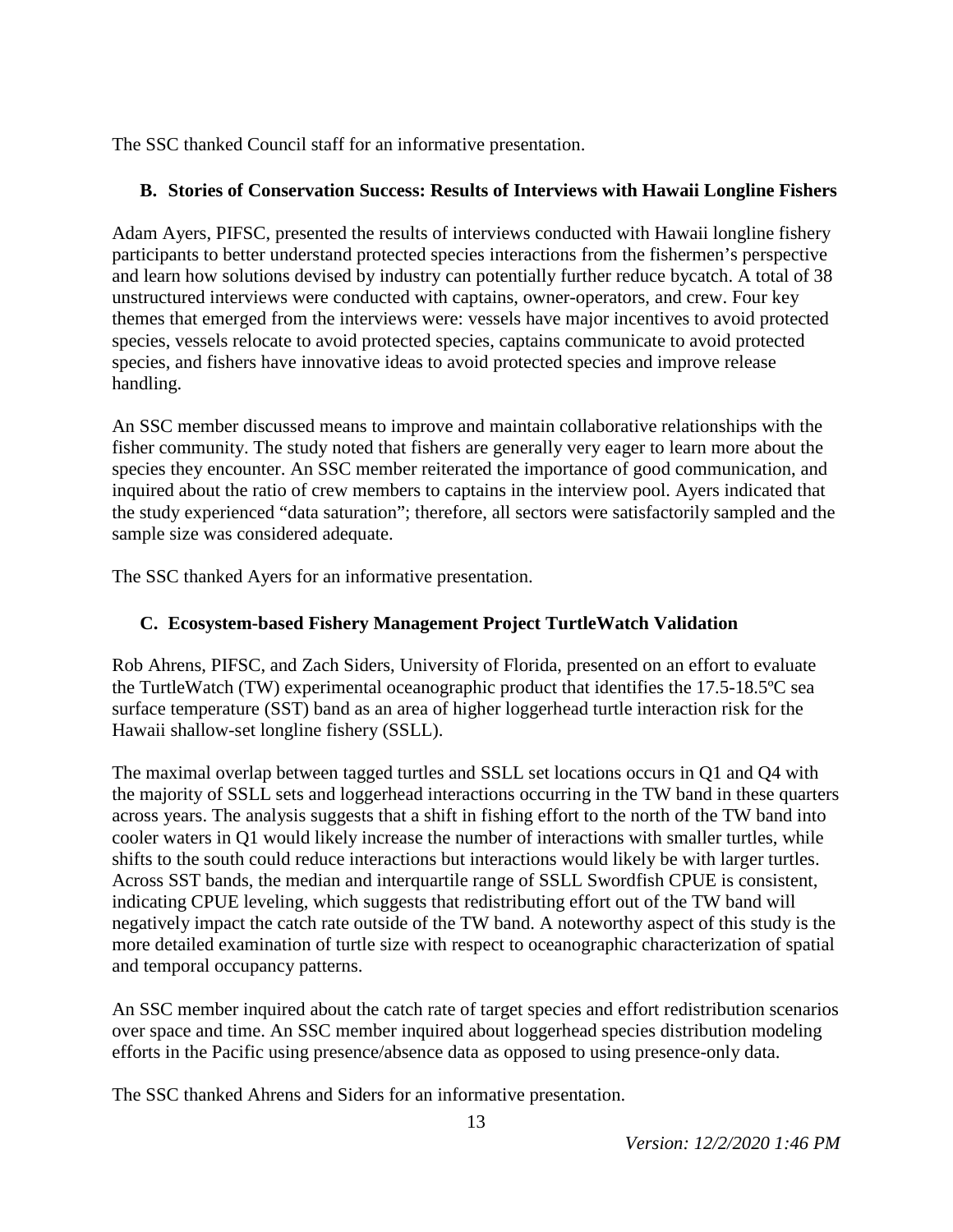The SSC thanked Council staff for an informative presentation.

# **B. Stories of Conservation Success: Results of Interviews with Hawaii Longline Fishers**

Adam Ayers, PIFSC, presented the results of interviews conducted with Hawaii longline fishery participants to better understand protected species interactions from the fishermen's perspective and learn how solutions devised by industry can potentially further reduce bycatch. A total of 38 unstructured interviews were conducted with captains, owner-operators, and crew. Four key themes that emerged from the interviews were: vessels have major incentives to avoid protected species, vessels relocate to avoid protected species, captains communicate to avoid protected species, and fishers have innovative ideas to avoid protected species and improve release handling.

An SSC member discussed means to improve and maintain collaborative relationships with the fisher community. The study noted that fishers are generally very eager to learn more about the species they encounter. An SSC member reiterated the importance of good communication, and inquired about the ratio of crew members to captains in the interview pool. Ayers indicated that the study experienced "data saturation"; therefore, all sectors were satisfactorily sampled and the sample size was considered adequate.

The SSC thanked Ayers for an informative presentation.

# **C. Ecosystem-based Fishery Management Project TurtleWatch Validation**

Rob Ahrens, PIFSC, and Zach Siders, University of Florida, presented on an effort to evaluate the TurtleWatch (TW) experimental oceanographic product that identifies the 17.5-18.5ºC sea surface temperature (SST) band as an area of higher loggerhead turtle interaction risk for the Hawaii shallow-set longline fishery (SSLL).

The maximal overlap between tagged turtles and SSLL set locations occurs in Q1 and Q4 with the majority of SSLL sets and loggerhead interactions occurring in the TW band in these quarters across years. The analysis suggests that a shift in fishing effort to the north of the TW band into cooler waters in Q1 would likely increase the number of interactions with smaller turtles, while shifts to the south could reduce interactions but interactions would likely be with larger turtles. Across SST bands, the median and interquartile range of SSLL Swordfish CPUE is consistent, indicating CPUE leveling, which suggests that redistributing effort out of the TW band will negatively impact the catch rate outside of the TW band. A noteworthy aspect of this study is the more detailed examination of turtle size with respect to oceanographic characterization of spatial and temporal occupancy patterns.

An SSC member inquired about the catch rate of target species and effort redistribution scenarios over space and time. An SSC member inquired about loggerhead species distribution modeling efforts in the Pacific using presence/absence data as opposed to using presence-only data.

The SSC thanked Ahrens and Siders for an informative presentation.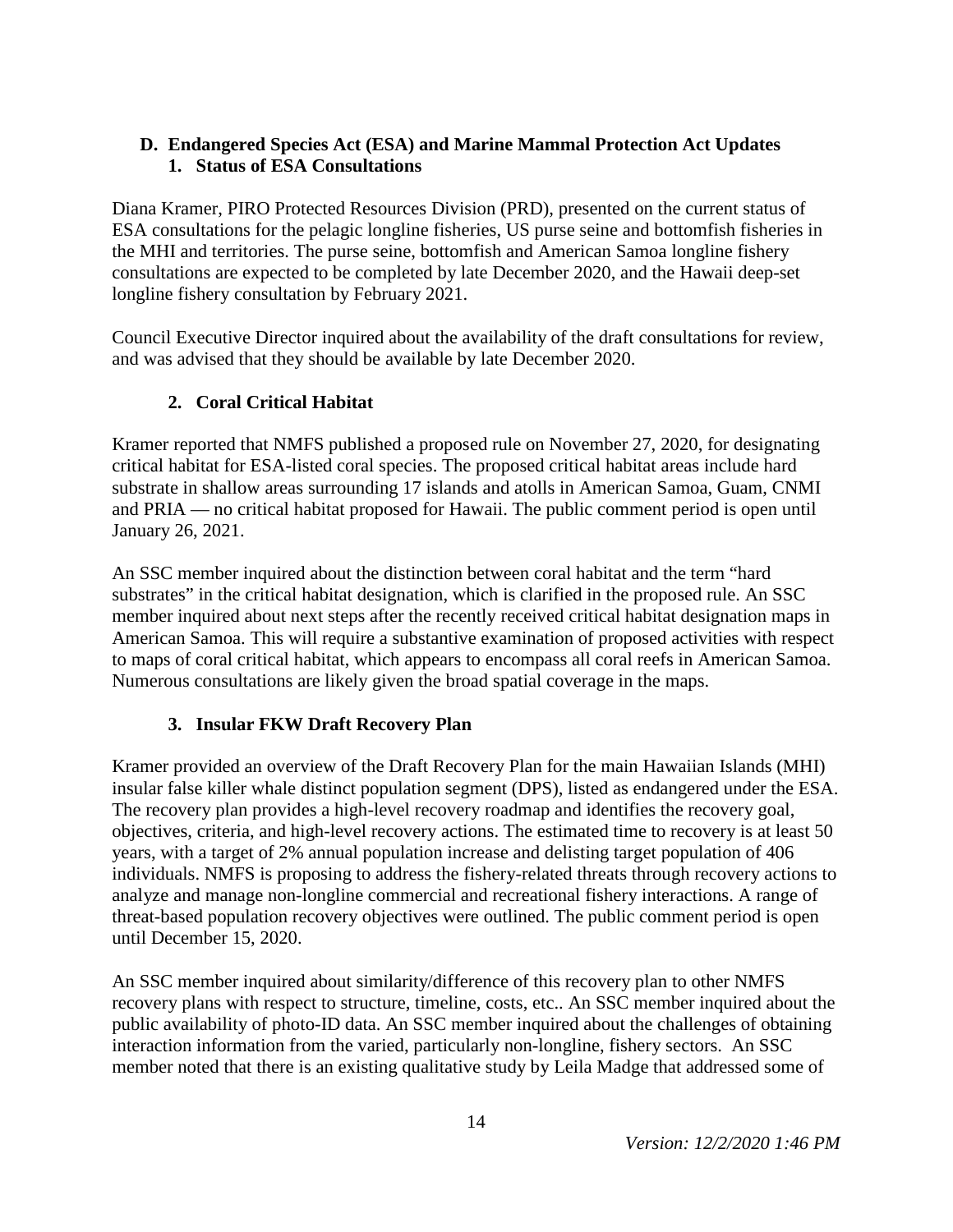## **D. Endangered Species Act (ESA) and Marine Mammal Protection Act Updates 1. Status of ESA Consultations**

Diana Kramer, PIRO Protected Resources Division (PRD), presented on the current status of ESA consultations for the pelagic longline fisheries, US purse seine and bottomfish fisheries in the MHI and territories. The purse seine, bottomfish and American Samoa longline fishery consultations are expected to be completed by late December 2020, and the Hawaii deep-set longline fishery consultation by February 2021.

Council Executive Director inquired about the availability of the draft consultations for review, and was advised that they should be available by late December 2020.

# **2. Coral Critical Habitat**

Kramer reported that NMFS published a proposed rule on November 27, 2020, for designating critical habitat for ESA-listed coral species. The proposed critical habitat areas include hard substrate in shallow areas surrounding 17 islands and atolls in American Samoa, Guam, CNMI and PRIA — no critical habitat proposed for Hawaii. The public comment period is open until January 26, 2021.

An SSC member inquired about the distinction between coral habitat and the term "hard substrates" in the critical habitat designation, which is clarified in the proposed rule. An SSC member inquired about next steps after the recently received critical habitat designation maps in American Samoa. This will require a substantive examination of proposed activities with respect to maps of coral critical habitat, which appears to encompass all coral reefs in American Samoa. Numerous consultations are likely given the broad spatial coverage in the maps.

# **3. Insular FKW Draft Recovery Plan**

Kramer provided an overview of the Draft Recovery Plan for the main Hawaiian Islands (MHI) insular false killer whale distinct population segment (DPS), listed as endangered under the ESA. The recovery plan provides a high-level recovery roadmap and identifies the recovery goal, objectives, criteria, and high-level recovery actions. The estimated time to recovery is at least 50 years, with a target of 2% annual population increase and delisting target population of 406 individuals. NMFS is proposing to address the fishery-related threats through recovery actions to analyze and manage non-longline commercial and recreational fishery interactions. A range of threat-based population recovery objectives were outlined. The public comment period is open until December 15, 2020.

An SSC member inquired about similarity/difference of this recovery plan to other NMFS recovery plans with respect to structure, timeline, costs, etc.. An SSC member inquired about the public availability of photo-ID data. An SSC member inquired about the challenges of obtaining interaction information from the varied, particularly non-longline, fishery sectors. An SSC member noted that there is an existing qualitative study by Leila Madge that addressed some of